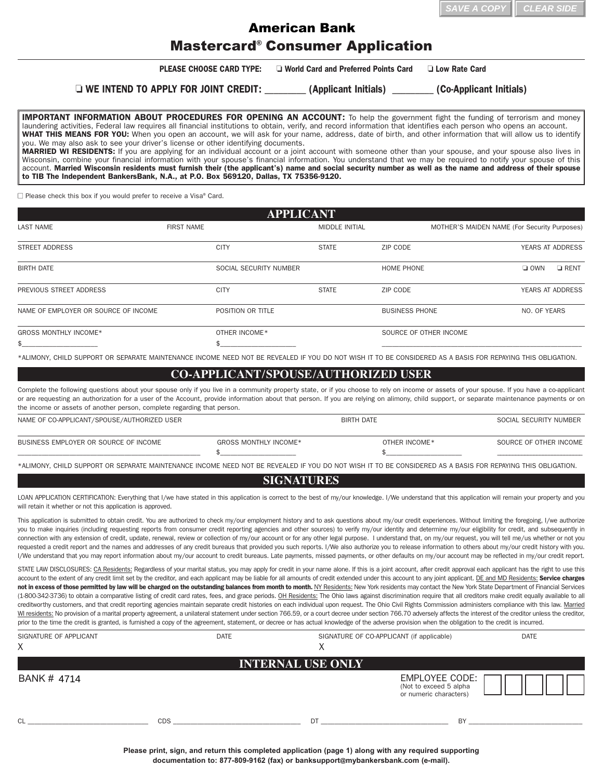| $\parallel$ SAVE A COPY $\parallel$ CLEAR SIDE |  |
|------------------------------------------------|--|
|                                                |  |

## Mastercard® Consumer Application American Bank

**PLEASE CHOOSE CARD TYPE:**  $\Box$  World Card and Preferred Points Card  $\Box$  Low Rate Card

o **WE INTEND TO APPLY FOR JOINT CREDIT:** \_\_\_\_\_\_\_\_\_ **(Applicant Initials)** \_\_\_\_\_\_\_\_\_ **(Co-Applicant Initials)**

**IMPORTANT INFORMATION ABOUT PROCEDURES FOR OPENING AN ACCOUNT:** To help the government fight the funding of terrorism and money laundering activities, Federal law requires all financial institutions to obtain, verify, and record information that identifies each person who opens an account. **WHAT THIS MEANS FOR YOU:** When you open an account, we will ask for your name, address, date of birth, and other information that will allow us to identify you. We may also ask to see your driver's license or other identifying documents. **MARRIED WI RESIDENTS:** If you are applying for an individual account or a joint account with someone other than your spouse, and your spouse also lives in Wisconsin, combine your financial information with your spouse's financial information. You understand that we may be required to notify your spouse of this account. **Married Wisconsin residents must furnish their (the applicant's) name and social security number as well as the name and address of their spouse to TIB The Independent BankersBank, N.A., at P.O. Box 569120, Dallas, TX 75356-9120.**

 $\Box$  Please check this box if you would prefer to receive a Visa® Card.

| <b>APPLICANT</b>                     |                        |                       |                        |                                              |
|--------------------------------------|------------------------|-----------------------|------------------------|----------------------------------------------|
| LAST NAME                            | <b>FIRST NAME</b>      | <b>MIDDLE INITIAL</b> |                        | MOTHER'S MAIDEN NAME (For Security Purposes) |
| <b>STREET ADDRESS</b>                | <b>CITY</b>            | <b>STATE</b>          | ZIP CODE               | <b>YEARS AT ADDRESS</b>                      |
| <b>BIRTH DATE</b>                    | SOCIAL SECURITY NUMBER |                       | HOME PHONE             | $\Box$ OWN<br>$\Box$ RENT                    |
| PREVIOUS STREET ADDRESS              | <b>CITY</b>            | <b>STATE</b>          | ZIP CODE               | YEARS AT ADDRESS                             |
| NAME OF EMPLOYER OR SOURCE OF INCOME | POSITION OR TITLE      |                       | <b>BUSINESS PHONE</b>  | NO. OF YEARS                                 |
| <b>GROSS MONTHLY INCOME*</b>         | OTHER INCOME*          |                       | SOURCE OF OTHER INCOME |                                              |
|                                      |                        |                       |                        |                                              |

\*ALIMONY, CHILD SUPPORT OR SEPARATE MAINTENANCE INCOME NEED NOT BE REVEALED IF YOU DO NOT WISH IT TO BE CONSIDERED AS A BASIS FOR REPAYING THIS OBLIGATION.

## **CO-APPLICANT/SPOUSE/AUTHORIZED USER**

Complete the following questions about your spouse only if you live in a community property state, or if you choose to rely on income or assets of your spouse. If you have a co-applicant or are requesting an authorization for a user of the Account, provide information about that person. If you are relying on alimony, child support, or separate maintenance payments or on the income or assets of another person, complete regarding that person. NAME OF CO-APPLICANT/SPOUSE/AUTHORIZED USER BIRTH DATE SOCIAL SECURITY NUMBER DATE SOCIAL SECURITY NUMBER OF C

| NAME OF CO-APPLICANT/SPOUSE/AUTHORIZED USER |                       | BIRTH DATE    | SOCIAL SECURITY NUMBER |
|---------------------------------------------|-----------------------|---------------|------------------------|
| BUSINESS EMPLOYER OR SOURCE OF INCOME       | GROSS MONTHLY INCOME* | OTHER INCOME* | SOURCE OF OTHER INCOME |
|                                             |                       |               |                        |

\*ALIMONY, CHILD SUPPORT OR SEPARATE MAINTENANCE INCOME NEED NOT BE REVEALED IF YOU DO NOT WISH IT TO BE CONSIDERED AS A BASIS FOR REPAYING THIS OBLIGATION.

## **SIGNATURES**

LOAN APPLICATION CERTIFICATION: Everything that I/we have stated in this application is correct to the best of my/our knowledge. I/We understand that this application will remain your property and you will retain it whether or not this application is approved.

This application is submitted to obtain credit. You are authorized to check my/our employment history and to ask questions about my/our credit experiences. Without limiting the foregoing, I/we authorize you to make inquiries (including requesting reports from consumer credit reporting agencies and other sources) to verify my/our identity and determine my/our eligibility for credit, and subsequently in connection with any extension of credit, update, renewal, review or collection of my/our account or for any other legal purpose. I understand that, on my/our request, you will tell me/us whether or not you requested a credit report and the names and addresses of any credit bureaus that provided you such reports. I/We also authorize you to release information to others about my/our credit history with you. I/We understand that you may report information about my/our account to credit bureaus. Late payments, missed payments, or other defaults on my/our account may be reflected in my/our credit report.

STATE LAW DISCLOSURES: CA Residents: Regardless of your marital status, you may apply for credit in your name alone. If this is a joint account, after credit approval each applicant has the right to use this account to the extent of any credit limit set by the creditor, and each applicant may be liable for all amounts of credit extended under this account to any joint applicant. DE and MD Residents: Service charges not in excess of those permitted by law will be charged on the outstanding balances from month to month. NY Residents: New York residents may contact the New York State Department of Financial Services (1-800-342-3736) to obtain a comparative listing of credit card rates, fees, and grace periods. OH Residents: The Ohio laws against discrimination require that all creditors make credit equally available to all creditworthy customers, and that credit reporting agencies maintain separate credit histories on each individual upon request. The Ohio Civil Rights Commission administers compliance with this law. Married WI residents: No provision of a marital property agreement, a unilateral statement under section 766.59, or a court decree under section 766.70 adversely affects the interest of the creditor unless the creditor, prior to the time the credit is granted, is furnished a copy of the agreement, statement, or decree or has actual knowledge of the adverse provision when the obligation to the credit is incurred.

| SIGNATURE OF APPLICANT<br>X | <b>DATE</b> | SIGNATURE OF CO-APPLICANT (if applicable)<br>⋏ |                                                                    | <b>DATE</b> |
|-----------------------------|-------------|------------------------------------------------|--------------------------------------------------------------------|-------------|
|                             |             | <b>INTERNAL USE ONLY</b>                       |                                                                    |             |
| BANK # 4714                 |             |                                                | EMPLOYEE CODE:<br>(Not to exceed 5 alpha<br>or numeric characters) |             |
| CI                          | <b>CDS</b>  | DT                                             | BY                                                                 |             |

**Please print, sign, and return this completed application (page 1) along with any required supporting documentation to: 877-809-9162 (fax) or banksupport@mybankersbank.com (e-mail).**